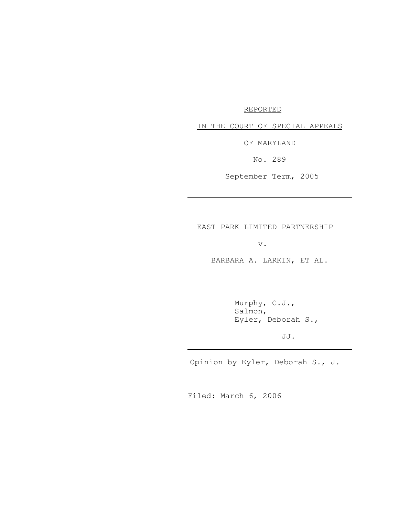## REPORTED

IN THE COURT OF SPECIAL APPEALS

OF MARYLAND

No. 289

September Term, 2005

EAST PARK LIMITED PARTNERSHIP

v.

BARBARA A. LARKIN, ET AL.

Murphy, C.J., Salmon, Eyler, Deborah S.,

JJ.

Opinion by Eyler, Deborah S., J.

Filed: March 6, 2006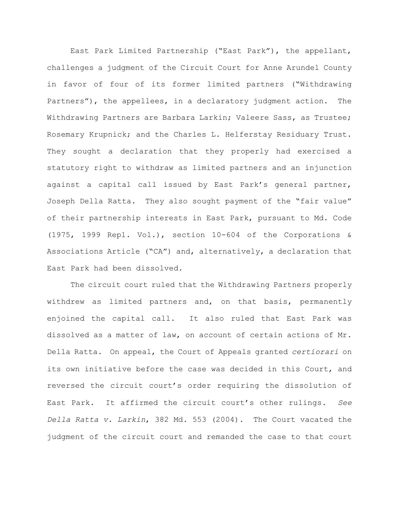East Park Limited Partnership ("East Park"), the appellant, challenges a judgment of the Circuit Court for Anne Arundel County in favor of four of its former limited partners ("Withdrawing Partners"), the appellees, in a declaratory judgment action. The Withdrawing Partners are Barbara Larkin; Valeere Sass, as Trustee; Rosemary Krupnick; and the Charles L. Helferstay Residuary Trust. They sought a declaration that they properly had exercised a statutory right to withdraw as limited partners and an injunction against a capital call issued by East Park's general partner, Joseph Della Ratta. They also sought payment of the "fair value" of their partnership interests in East Park, pursuant to Md. Code (1975, 1999 Repl. Vol.), section 10-604 of the Corporations & Associations Article ("CA") and, alternatively, a declaration that East Park had been dissolved.

The circuit court ruled that the Withdrawing Partners properly withdrew as limited partners and, on that basis, permanently enjoined the capital call. It also ruled that East Park was dissolved as a matter of law, on account of certain actions of Mr. Della Ratta. On appeal, the Court of Appeals granted *certiorari* on its own initiative before the case was decided in this Court, and reversed the circuit court's order requiring the dissolution of East Park. It affirmed the circuit court's other rulings. *See Della Ratta v. Larkin*, 382 Md. 553 (2004). The Court vacated the judgment of the circuit court and remanded the case to that court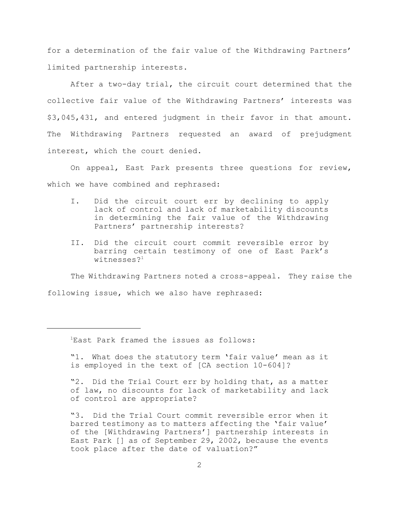for a determination of the fair value of the Withdrawing Partners' limited partnership interests.

After a two-day trial, the circuit court determined that the collective fair value of the Withdrawing Partners' interests was \$3,045,431, and entered judgment in their favor in that amount. The Withdrawing Partners requested an award of prejudgment interest, which the court denied.

On appeal, East Park presents three questions for review, which we have combined and rephrased:

- I. Did the circuit court err by declining to apply lack of control and lack of marketability discounts in determining the fair value of the Withdrawing Partners' partnership interests?
- II. Did the circuit court commit reversible error by barring certain testimony of one of East Park's witnesses $2<sup>1</sup>$

The Withdrawing Partners noted a cross-appeal. They raise the following issue, which we also have rephrased:

<sup>1</sup>East Park framed the issues as follows:

"1. What does the statutory term 'fair value' mean as it is employed in the text of [CA section 10-604]?

"2. Did the Trial Court err by holding that, as a matter of law, no discounts for lack of marketability and lack of control are appropriate?

"3. Did the Trial Court commit reversible error when it barred testimony as to matters affecting the 'fair value' of the [Withdrawing Partners'] partnership interests in East Park [] as of September 29, 2002, because the events took place after the date of valuation?"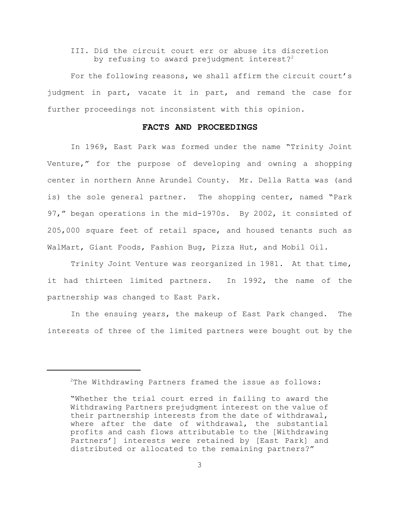# III. Did the circuit court err or abuse its discretion by refusing to award prejudgment interest?<sup>2</sup>

For the following reasons, we shall affirm the circuit court's judgment in part, vacate it in part, and remand the case for further proceedings not inconsistent with this opinion.

# **FACTS AND PROCEEDINGS**

In 1969, East Park was formed under the name "Trinity Joint Venture," for the purpose of developing and owning a shopping center in northern Anne Arundel County. Mr. Della Ratta was (and is) the sole general partner. The shopping center, named "Park 97," began operations in the mid-1970s. By 2002, it consisted of 205,000 square feet of retail space, and housed tenants such as WalMart, Giant Foods, Fashion Bug, Pizza Hut, and Mobil Oil.

Trinity Joint Venture was reorganized in 1981. At that time, it had thirteen limited partners. In 1992, the name of the partnership was changed to East Park.

In the ensuing years, the makeup of East Park changed. The interests of three of the limited partners were bought out by the

<sup>2</sup>The Withdrawing Partners framed the issue as follows:

<sup>&</sup>quot;Whether the trial court erred in failing to award the Withdrawing Partners prejudgment interest on the value of their partnership interests from the date of withdrawal, where after the date of withdrawal, the substantial profits and cash flows attributable to the [Withdrawing Partners'] interests were retained by [East Park] and distributed or allocated to the remaining partners?"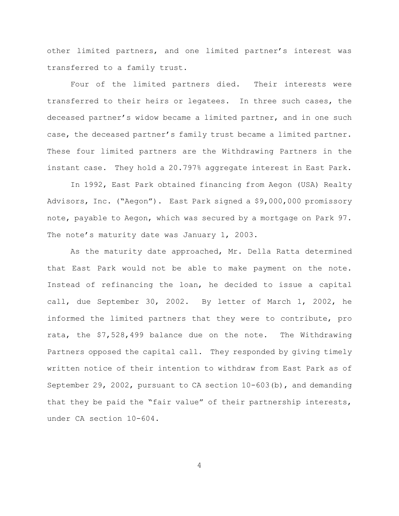other limited partners, and one limited partner's interest was transferred to a family trust.

Four of the limited partners died. Their interests were transferred to their heirs or legatees. In three such cases, the deceased partner's widow became a limited partner, and in one such case, the deceased partner's family trust became a limited partner. These four limited partners are the Withdrawing Partners in the instant case. They hold a 20.797% aggregate interest in East Park.

In 1992, East Park obtained financing from Aegon (USA) Realty Advisors, Inc. ("Aegon"). East Park signed a \$9,000,000 promissory note, payable to Aegon, which was secured by a mortgage on Park 97. The note's maturity date was January 1, 2003.

As the maturity date approached, Mr. Della Ratta determined that East Park would not be able to make payment on the note. Instead of refinancing the loan, he decided to issue a capital call, due September 30, 2002. By letter of March 1, 2002, he informed the limited partners that they were to contribute, pro rata, the \$7,528,499 balance due on the note. The Withdrawing Partners opposed the capital call. They responded by giving timely written notice of their intention to withdraw from East Park as of September 29, 2002, pursuant to CA section  $10-603$  (b), and demanding that they be paid the "fair value" of their partnership interests, under CA section 10-604.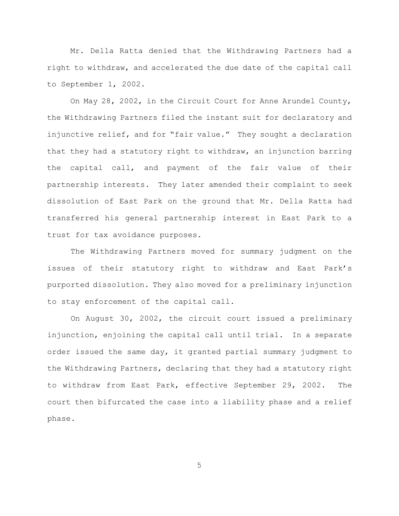Mr. Della Ratta denied that the Withdrawing Partners had a right to withdraw, and accelerated the due date of the capital call to September 1, 2002.

On May 28, 2002, in the Circuit Court for Anne Arundel County, the Withdrawing Partners filed the instant suit for declaratory and injunctive relief, and for "fair value." They sought a declaration that they had a statutory right to withdraw, an injunction barring the capital call, and payment of the fair value of their partnership interests. They later amended their complaint to seek dissolution of East Park on the ground that Mr. Della Ratta had transferred his general partnership interest in East Park to a trust for tax avoidance purposes.

The Withdrawing Partners moved for summary judgment on the issues of their statutory right to withdraw and East Park's purported dissolution. They also moved for a preliminary injunction to stay enforcement of the capital call.

On August 30, 2002, the circuit court issued a preliminary injunction, enjoining the capital call until trial. In a separate order issued the same day, it granted partial summary judgment to the Withdrawing Partners, declaring that they had a statutory right to withdraw from East Park, effective September 29, 2002. The court then bifurcated the case into a liability phase and a relief phase.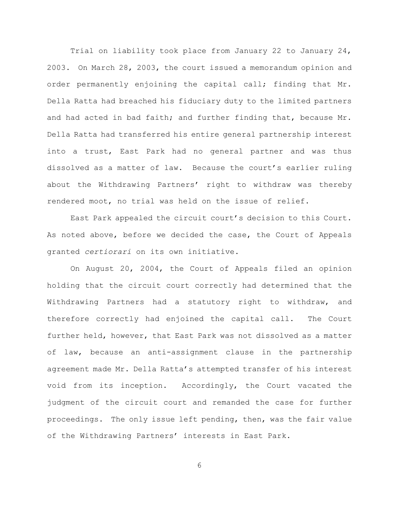Trial on liability took place from January 22 to January 24, 2003. On March 28, 2003, the court issued a memorandum opinion and order permanently enjoining the capital call; finding that Mr. Della Ratta had breached his fiduciary duty to the limited partners and had acted in bad faith; and further finding that, because Mr. Della Ratta had transferred his entire general partnership interest into a trust, East Park had no general partner and was thus dissolved as a matter of law. Because the court's earlier ruling about the Withdrawing Partners' right to withdraw was thereby rendered moot, no trial was held on the issue of relief.

East Park appealed the circuit court's decision to this Court. As noted above, before we decided the case, the Court of Appeals granted *certiorari* on its own initiative.

On August 20, 2004, the Court of Appeals filed an opinion holding that the circuit court correctly had determined that the Withdrawing Partners had a statutory right to withdraw, and therefore correctly had enjoined the capital call. The Court further held, however, that East Park was not dissolved as a matter of law, because an anti-assignment clause in the partnership agreement made Mr. Della Ratta's attempted transfer of his interest void from its inception. Accordingly, the Court vacated the judgment of the circuit court and remanded the case for further proceedings. The only issue left pending, then, was the fair value of the Withdrawing Partners' interests in East Park.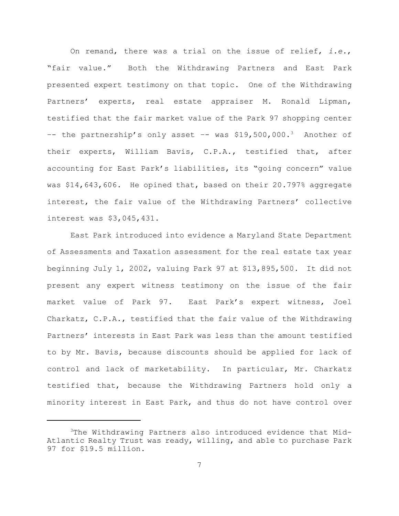On remand, there was a trial on the issue of relief, *i.e.*, "fair value." Both the Withdrawing Partners and East Park presented expert testimony on that topic. One of the Withdrawing Partners' experts, real estate appraiser M. Ronald Lipman, testified that the fair market value of the Park 97 shopping center -- the partnership's only asset -- was \$19,500,000.<sup>3</sup> Another of their experts, William Bavis, C.P.A., testified that, after accounting for East Park's liabilities, its "going concern" value was \$14,643,606. He opined that, based on their 20.797% aggregate interest, the fair value of the Withdrawing Partners' collective interest was \$3,045,431.

East Park introduced into evidence a Maryland State Department of Assessments and Taxation assessment for the real estate tax year beginning July 1, 2002, valuing Park 97 at \$13,895,500. It did not present any expert witness testimony on the issue of the fair market value of Park 97. East Park's expert witness, Joel Charkatz, C.P.A., testified that the fair value of the Withdrawing Partners' interests in East Park was less than the amount testified to by Mr. Bavis, because discounts should be applied for lack of control and lack of marketability. In particular, Mr. Charkatz testified that, because the Withdrawing Partners hold only a minority interest in East Park, and thus do not have control over

<sup>3</sup>The Withdrawing Partners also introduced evidence that Mid-Atlantic Realty Trust was ready, willing, and able to purchase Park 97 for \$19.5 million.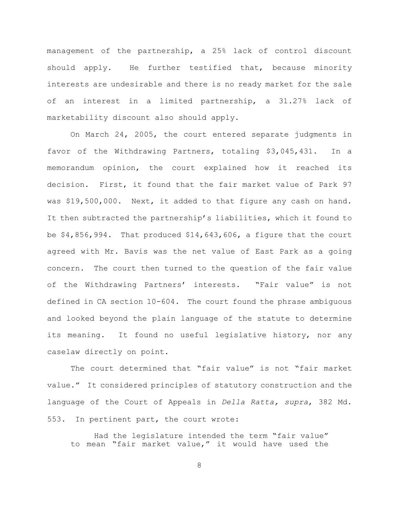management of the partnership, a 25% lack of control discount should apply. He further testified that, because minority interests are undesirable and there is no ready market for the sale of an interest in a limited partnership, a 31.27% lack of marketability discount also should apply.

On March 24, 2005, the court entered separate judgments in favor of the Withdrawing Partners, totaling \$3,045,431. In a memorandum opinion, the court explained how it reached its decision. First, it found that the fair market value of Park 97 was \$19,500,000. Next, it added to that figure any cash on hand. It then subtracted the partnership's liabilities, which it found to be  $$4,856,994$ . That produced  $$14,643,606$ , a figure that the court agreed with Mr. Bavis was the net value of East Park as a going concern. The court then turned to the question of the fair value of the Withdrawing Partners' interests. "Fair value" is not defined in CA section 10-604. The court found the phrase ambiguous and looked beyond the plain language of the statute to determine its meaning. It found no useful legislative history, nor any caselaw directly on point.

The court determined that "fair value" is not "fair market value." It considered principles of statutory construction and the language of the Court of Appeals in *Della Ratta, supra*, 382 Md. 553. In pertinent part, the court wrote:

Had the legislature intended the term "fair value" to mean "fair market value," it would have used the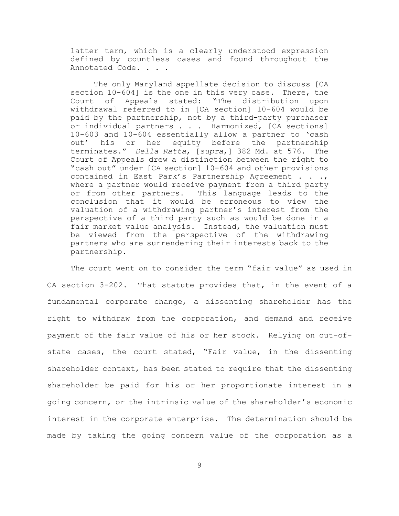latter term, which is a clearly understood expression defined by countless cases and found throughout the Annotated Code. . . .

The only Maryland appellate decision to discuss [CA section 10-604] is the one in this very case. There, the Court of Appeals stated: "The distribution upon withdrawal referred to in [CA section] 10-604 would be paid by the partnership, not by a third-party purchaser or individual partners . . . Harmonized, [CA sections] 10-603 and 10-604 essentially allow a partner to 'cash out' his or her equity before the partnership terminates." *Della Ratta*, [*supra*,] 382 Md. at 576. The Court of Appeals drew a distinction between the right to "cash out" under [CA section] 10-604 and other provisions contained in East Park's Partnership Agreement . . ., where a partner would receive payment from a third party or from other partners. This language leads to the conclusion that it would be erroneous to view the valuation of a withdrawing partner's interest from the perspective of a third party such as would be done in a fair market value analysis. Instead, the valuation must be viewed from the perspective of the withdrawing partners who are surrendering their interests back to the partnership.

The court went on to consider the term "fair value" as used in CA section 3-202. That statute provides that, in the event of a fundamental corporate change, a dissenting shareholder has the right to withdraw from the corporation, and demand and receive payment of the fair value of his or her stock. Relying on out-ofstate cases, the court stated, "Fair value, in the dissenting shareholder context, has been stated to require that the dissenting shareholder be paid for his or her proportionate interest in a going concern, or the intrinsic value of the shareholder's economic interest in the corporate enterprise. The determination should be made by taking the going concern value of the corporation as a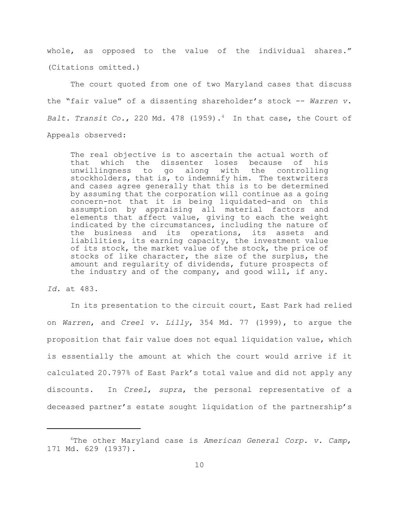whole, as opposed to the value of the individual shares." (Citations omitted.)

The court quoted from one of two Maryland cases that discuss the "fair value" of a dissenting shareholder's stock -- *Warren v. Balt. Transit Co.*, 220 Md. 478 (1959).<sup>4</sup> In that case, the Court of Appeals observed:

The real objective is to ascertain the actual worth of that which the dissenter loses because of his unwillingness to go along with the controlling stockholders, that is, to indemnify him. The textwriters and cases agree generally that this is to be determined by assuming that the corporation will continue as a going concern-not that it is being liquidated-and on this assumption by appraising all material factors and elements that affect value, giving to each the weight indicated by the circumstances, including the nature of the business and its operations, its assets and liabilities, its earning capacity, the investment value of its stock, the market value of the stock, the price of stocks of like character, the size of the surplus, the amount and regularity of dividends, future prospects of the industry and of the company, and good will, if any.

*Id.* at 483.

In its presentation to the circuit court, East Park had relied on *Warren*, and *Creel v. Lilly*, 354 Md. 77 (1999), to argue the proposition that fair value does not equal liquidation value, which is essentially the amount at which the court would arrive if it calculated 20.797% of East Park's total value and did not apply any discounts. In *Creel*, *supra*, the personal representative of a deceased partner's estate sought liquidation of the partnership's

<sup>4</sup>The other Maryland case is *American General Corp. v. Camp*, 171 Md. 629 (1937).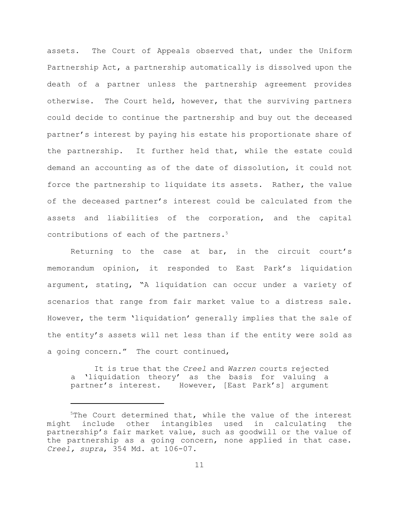assets. The Court of Appeals observed that, under the Uniform Partnership Act, a partnership automatically is dissolved upon the death of a partner unless the partnership agreement provides otherwise. The Court held, however, that the surviving partners could decide to continue the partnership and buy out the deceased partner's interest by paying his estate his proportionate share of the partnership. It further held that, while the estate could demand an accounting as of the date of dissolution, it could not force the partnership to liquidate its assets. Rather, the value of the deceased partner's interest could be calculated from the assets and liabilities of the corporation, and the capital contributions of each of the partners.<sup>5</sup>

Returning to the case at bar, in the circuit court's memorandum opinion, it responded to East Park's liquidation argument, stating, "A liquidation can occur under a variety of scenarios that range from fair market value to a distress sale. However, the term 'liquidation' generally implies that the sale of the entity's assets will net less than if the entity were sold as a going concern." The court continued,

It is true that the *Creel* and *Warren* courts rejected a 'liquidation theory' as the basis for valuing a partner's interest. However, [East Park's] argument

<sup>5</sup>The Court determined that, while the value of the interest might include other intangibles used in calculating the partnership's fair market value, such as goodwill or the value of the partnership as a going concern, none applied in that case. *Creel, supra*, 354 Md. at 106-07*.*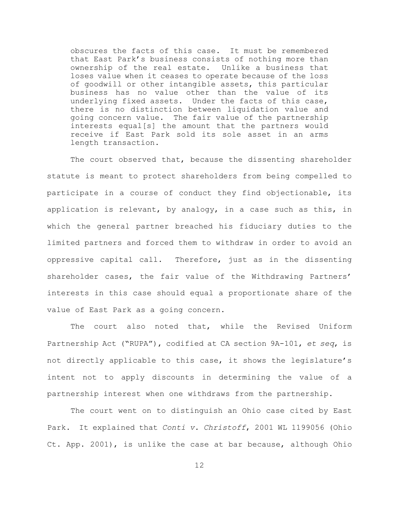obscures the facts of this case. It must be remembered that East Park's business consists of nothing more than ownership of the real estate. Unlike a business that loses value when it ceases to operate because of the loss of goodwill or other intangible assets, this particular business has no value other than the value of its underlying fixed assets. Under the facts of this case, there is no distinction between liquidation value and going concern value. The fair value of the partnership interests equal[s] the amount that the partners would receive if East Park sold its sole asset in an arms length transaction.

The court observed that, because the dissenting shareholder statute is meant to protect shareholders from being compelled to participate in a course of conduct they find objectionable, its application is relevant, by analogy, in a case such as this, in which the general partner breached his fiduciary duties to the limited partners and forced them to withdraw in order to avoid an oppressive capital call. Therefore, just as in the dissenting shareholder cases, the fair value of the Withdrawing Partners' interests in this case should equal a proportionate share of the value of East Park as a going concern.

The court also noted that, while the Revised Uniform Partnership Act ("RUPA"), codified at CA section 9A-101, *et seq*, is not directly applicable to this case, it shows the legislature's intent not to apply discounts in determining the value of a partnership interest when one withdraws from the partnership.

The court went on to distinguish an Ohio case cited by East Park. It explained that *Conti v. Christoff*, 2001 WL 1199056 (Ohio Ct. App. 2001), is unlike the case at bar because, although Ohio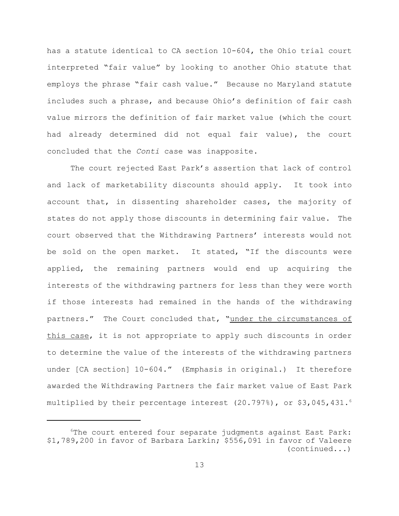has a statute identical to CA section 10-604, the Ohio trial court interpreted "fair value" by looking to another Ohio statute that employs the phrase "fair cash value." Because no Maryland statute includes such a phrase, and because Ohio's definition of fair cash value mirrors the definition of fair market value (which the court had already determined did not equal fair value), the court concluded that the *Conti* case was inapposite.

The court rejected East Park's assertion that lack of control and lack of marketability discounts should apply. It took into account that, in dissenting shareholder cases, the majority of states do not apply those discounts in determining fair value. The court observed that the Withdrawing Partners' interests would not be sold on the open market. It stated, "If the discounts were applied, the remaining partners would end up acquiring the interests of the withdrawing partners for less than they were worth if those interests had remained in the hands of the withdrawing partners." The Court concluded that, "under the circumstances of this case, it is not appropriate to apply such discounts in order to determine the value of the interests of the withdrawing partners under [CA section] 10-604." (Emphasis in original.) It therefore awarded the Withdrawing Partners the fair market value of East Park multiplied by their percentage interest  $(20.797%)$ , or \$3,045,431. $^6$ 

<sup>&</sup>lt;sup>6</sup>The court entered four separate judgments against East Park: \$1,789,200 in favor of Barbara Larkin; \$556,091 in favor of Valeere (continued...)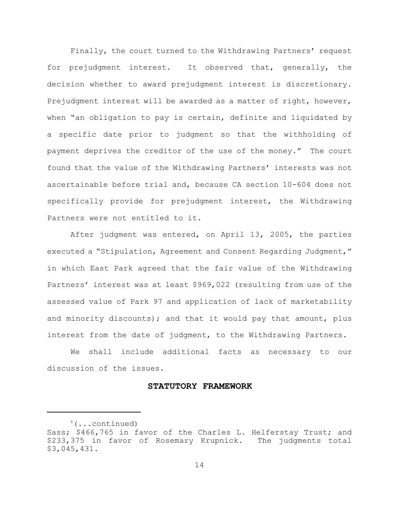Finally, the court turned to the Withdrawing Partners' request for prejudgment interest. It observed that, generally, the decision whether to award prejudgment interest is discretionary. Prejudgment interest will be awarded as a matter of right, however, when "an obligation to pay is certain, definite and liquidated by a specific date prior to judgment so that the withholding of payment deprives the creditor of the use of the money." The court found that the value of the Withdrawing Partners' interests was not ascertainable before trial and, because CA section 10-604 does not specifically provide for prejudgment interest, the Withdrawing Partners were not entitled to it.

After judgment was entered, on April 13, 2005, the parties executed a "Stipulation, Agreement and Consent Regarding Judgment," in which East Park agreed that the fair value of the Withdrawing Partners' interest was at least \$969,022 (resulting from use of the assessed value of Park 97 and application of lack of marketability and minority discounts); and that it would pay that amount, plus interest from the date of judgment, to the Withdrawing Partners.

We shall include additional facts as necessary to our discussion of the issues.

# **STATUTORY FRAMEWORK**

 $6(\ldots \text{continued})$ 

Sass; \$466,765 in favor of the Charles L. Helferstay Trust; and \$233,375 in favor of Rosemary Krupnick. The judgments total \$3,045,431.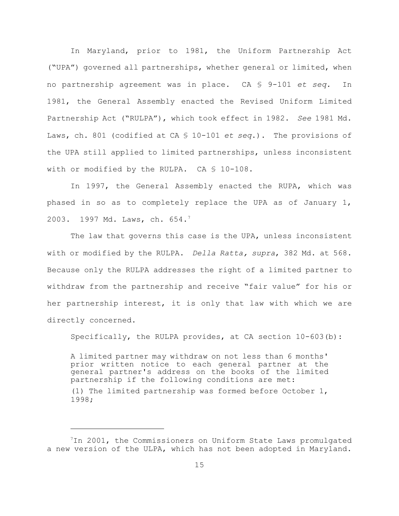In Maryland, prior to 1981, the Uniform Partnership Act ("UPA") governed all partnerships, whether general or limited, when no partnership agreement was in place. CA § 9-101 *et seq.* In 1981, the General Assembly enacted the Revised Uniform Limited Partnership Act ("RULPA"), which took effect in 1982. *See* 1981 Md. Laws, ch. 801 (codified at CA § 10-101 *et seq*.). The provisions of the UPA still applied to limited partnerships, unless inconsistent with or modified by the RULPA. CA § 10-108.

In 1997, the General Assembly enacted the RUPA, which was phased in so as to completely replace the UPA as of January 1, 2003. 1997 Md. Laws, ch. 654.<sup>7</sup>

The law that governs this case is the UPA, unless inconsistent with or modified by the RULPA. *Della Ratta, supra*, 382 Md. at 568. Because only the RULPA addresses the right of a limited partner to withdraw from the partnership and receive "fair value" for his or her partnership interest, it is only that law with which we are directly concerned.

Specifically, the RULPA provides, at CA section 10-603(b):

A limited partner may withdraw on not less than 6 months' prior written notice to each general partner at the general partner's address on the books of the limited partnership if the following conditions are met: (1) The limited partnership was formed before October 1, 1998;

<sup>&</sup>lt;sup>7</sup>In 2001, the Commissioners on Uniform State Laws promulgated a new version of the ULPA, which has not been adopted in Maryland.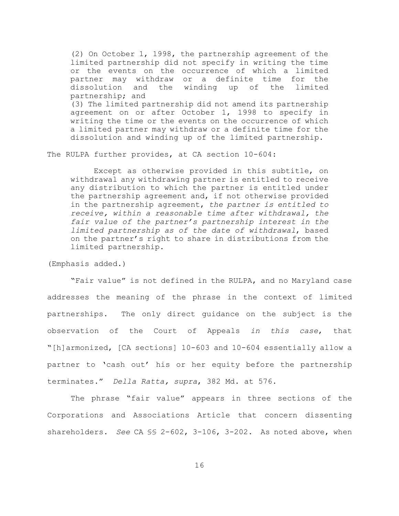(2) On October 1, 1998, the partnership agreement of the limited partnership did not specify in writing the time or the events on the occurrence of which a limited partner may withdraw or a definite time for the dissolution and the winding up of the limited partnership; and (3) The limited partnership did not amend its partnership agreement on or after October 1, 1998 to specify in writing the time or the events on the occurrence of which a limited partner may withdraw or a definite time for the dissolution and winding up of the limited partnership.

The RULPA further provides, at CA section 10-604:

Except as otherwise provided in this subtitle, on withdrawal any withdrawing partner is entitled to receive any distribution to which the partner is entitled under the partnership agreement and, if not otherwise provided in the partnership agreement, *the partner is entitled to receive, within a reasonable time after withdrawal, the fair value of the partner's partnership interest in the limited partnership as of the date of withdrawal*, based on the partner's right to share in distributions from the limited partnership.

(Emphasis added.)

"Fair value" is not defined in the RULPA, and no Maryland case addresses the meaning of the phrase in the context of limited partnerships. The only direct guidance on the subject is the observation of the Court of Appeals *in this case*, that "[h]armonized, [CA sections] 10-603 and 10-604 essentially allow a partner to 'cash out' his or her equity before the partnership terminates." *Della Ratta, supra*, 382 Md. at 576.

The phrase "fair value" appears in three sections of the Corporations and Associations Article that concern dissenting shareholders. *See* CA §§ 2-602, 3-106, 3-202. As noted above, when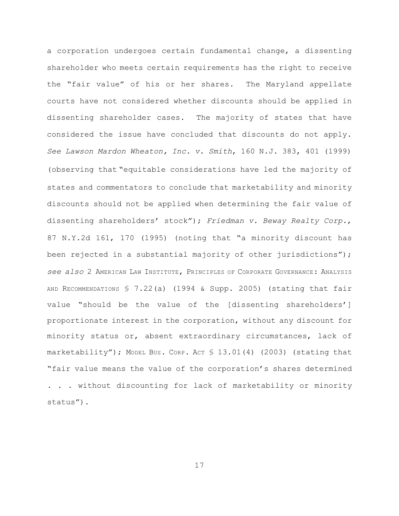a corporation undergoes certain fundamental change, a dissenting shareholder who meets certain requirements has the right to receive the "fair value" of his or her shares. The Maryland appellate courts have not considered whether discounts should be applied in dissenting shareholder cases. The majority of states that have considered the issue have concluded that discounts do not apply. *See Lawson Mardon Wheaton, Inc. v. Smith*, 160 N.J. 383, 401 (1999) (observing that "equitable considerations have led the majority of states and commentators to conclude that marketability and minority discounts should not be applied when determining the fair value of dissenting shareholders' stock"); *Friedman v. Beway Realty Corp.*, 87 N.Y.2d 161, 170 (1995) (noting that "a minority discount has been rejected in a substantial majority of other jurisdictions"); *see also* 2 AMERICAN LAW INSTITUTE, PRINCIPLES OF CORPORATE GOVERNANCE: ANALYSIS AND RECOMMENDATIONS § 7.22(a) (1994 & Supp. 2005) (stating that fair value "should be the value of the [dissenting shareholders'] proportionate interest in the corporation, without any discount for minority status or, absent extraordinary circumstances, lack of marketability"); MODEL BUS. CORP. ACT  $$13.01(4)$  (2003) (stating that "fair value means the value of the corporation's shares determined . . . without discounting for lack of marketability or minority

status").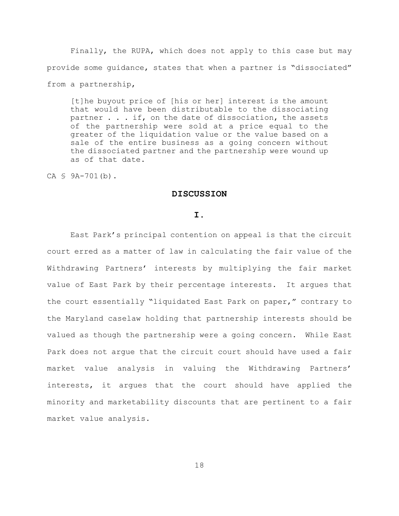Finally, the RUPA, which does not apply to this case but may provide some guidance, states that when a partner is "dissociated" from a partnership,

[t]he buyout price of [his or her] interest is the amount that would have been distributable to the dissociating partner . . . if, on the date of dissociation, the assets of the partnership were sold at a price equal to the greater of the liquidation value or the value based on a sale of the entire business as a going concern without the dissociated partner and the partnership were wound up as of that date.

CA § 9A-701(b).

## **DISCUSSION**

### **I.**

East Park's principal contention on appeal is that the circuit court erred as a matter of law in calculating the fair value of the Withdrawing Partners' interests by multiplying the fair market value of East Park by their percentage interests. It argues that the court essentially "liquidated East Park on paper," contrary to the Maryland caselaw holding that partnership interests should be valued as though the partnership were a going concern. While East Park does not argue that the circuit court should have used a fair market value analysis in valuing the Withdrawing Partners' interests, it argues that the court should have applied the minority and marketability discounts that are pertinent to a fair market value analysis.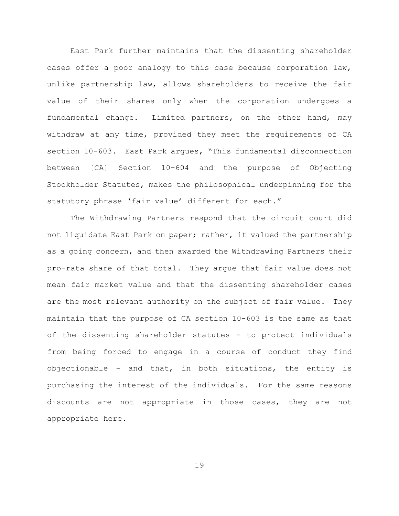East Park further maintains that the dissenting shareholder cases offer a poor analogy to this case because corporation law, unlike partnership law, allows shareholders to receive the fair value of their shares only when the corporation undergoes a fundamental change. Limited partners, on the other hand, may withdraw at any time, provided they meet the requirements of CA section 10-603. East Park argues, "This fundamental disconnection between [CA] Section 10-604 and the purpose of Objecting Stockholder Statutes, makes the philosophical underpinning for the statutory phrase 'fair value' different for each."

The Withdrawing Partners respond that the circuit court did not liquidate East Park on paper; rather, it valued the partnership as a going concern, and then awarded the Withdrawing Partners their pro-rata share of that total. They argue that fair value does not mean fair market value and that the dissenting shareholder cases are the most relevant authority on the subject of fair value. They maintain that the purpose of CA section 10-603 is the same as that of the dissenting shareholder statutes - to protect individuals from being forced to engage in a course of conduct they find objectionable - and that, in both situations, the entity is purchasing the interest of the individuals. For the same reasons discounts are not appropriate in those cases, they are not appropriate here.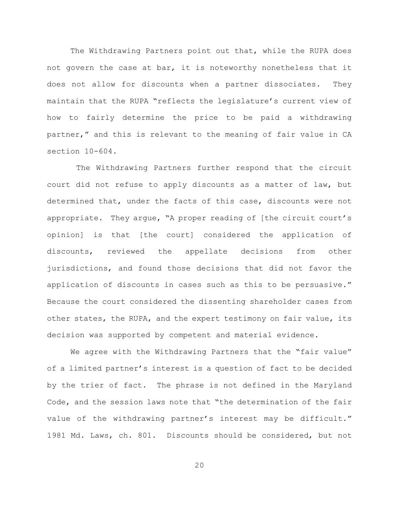The Withdrawing Partners point out that, while the RUPA does not govern the case at bar, it is noteworthy nonetheless that it does not allow for discounts when a partner dissociates. They maintain that the RUPA "reflects the legislature's current view of how to fairly determine the price to be paid a withdrawing partner," and this is relevant to the meaning of fair value in CA section 10-604.

 The Withdrawing Partners further respond that the circuit court did not refuse to apply discounts as a matter of law, but determined that, under the facts of this case, discounts were not appropriate. They argue, "A proper reading of [the circuit court's opinion] is that [the court] considered the application of discounts, reviewed the appellate decisions from other jurisdictions, and found those decisions that did not favor the application of discounts in cases such as this to be persuasive." Because the court considered the dissenting shareholder cases from other states, the RUPA, and the expert testimony on fair value, its decision was supported by competent and material evidence.

We agree with the Withdrawing Partners that the "fair value" of a limited partner's interest is a question of fact to be decided by the trier of fact. The phrase is not defined in the Maryland Code, and the session laws note that "the determination of the fair value of the withdrawing partner's interest may be difficult." 1981 Md. Laws, ch. 801. Discounts should be considered, but not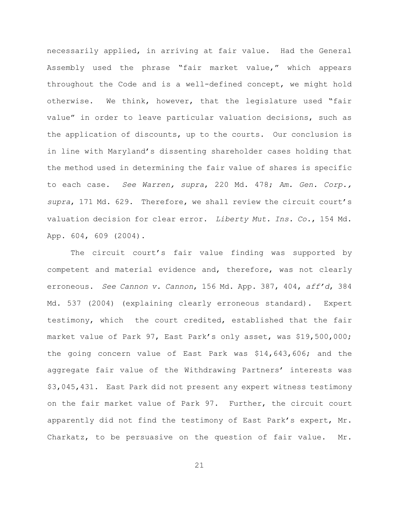necessarily applied, in arriving at fair value. Had the General Assembly used the phrase "fair market value," which appears throughout the Code and is a well-defined concept, we might hold otherwise. We think, however, that the legislature used "fair value" in order to leave particular valuation decisions, such as the application of discounts, up to the courts. Our conclusion is in line with Maryland's dissenting shareholder cases holding that the method used in determining the fair value of shares is specific to each case. *See Warren, supra*, 220 Md. 478; *Am. Gen. Corp., supra*, 171 Md. 629. Therefore, we shall review the circuit court's valuation decision for clear error. *Liberty Mut. Ins. Co.*, 154 Md. App. 604, 609 (2004).

The circuit court's fair value finding was supported by competent and material evidence and, therefore, was not clearly erroneous. *See Cannon v. Cannon*, 156 Md. App. 387, 404, *aff'd*, 384 Md. 537 (2004) (explaining clearly erroneous standard). Expert testimony, which the court credited, established that the fair market value of Park 97, East Park's only asset, was \$19,500,000; the going concern value of East Park was \$14,643,606; and the aggregate fair value of the Withdrawing Partners' interests was \$3,045,431. East Park did not present any expert witness testimony on the fair market value of Park 97. Further, the circuit court apparently did not find the testimony of East Park's expert, Mr. Charkatz, to be persuasive on the question of fair value. Mr.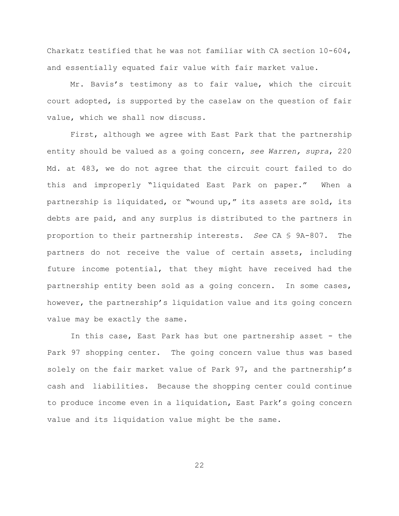Charkatz testified that he was not familiar with CA section 10-604, and essentially equated fair value with fair market value.

Mr. Bavis's testimony as to fair value, which the circuit court adopted, is supported by the caselaw on the question of fair value, which we shall now discuss.

First, although we agree with East Park that the partnership entity should be valued as a going concern, *see Warren, supra*, 220 Md. at 483, we do not agree that the circuit court failed to do this and improperly "liquidated East Park on paper." When a partnership is liquidated, or "wound up," its assets are sold, its debts are paid, and any surplus is distributed to the partners in proportion to their partnership interests. *See* CA § 9A-807. The partners do not receive the value of certain assets, including future income potential, that they might have received had the partnership entity been sold as a going concern. In some cases, however, the partnership's liquidation value and its going concern value may be exactly the same.

In this case, East Park has but one partnership asset - the Park 97 shopping center. The going concern value thus was based solely on the fair market value of Park 97, and the partnership's cash and liabilities. Because the shopping center could continue to produce income even in a liquidation, East Park's going concern value and its liquidation value might be the same.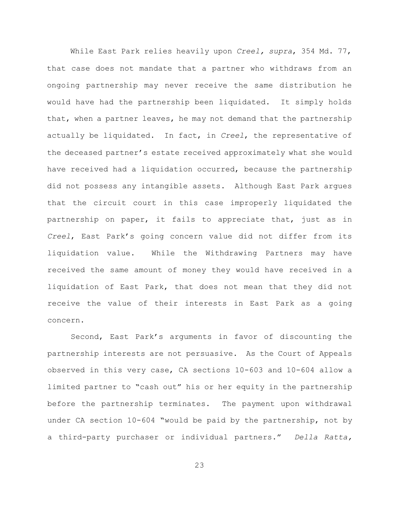While East Park relies heavily upon *Creel, supra*, 354 Md. 77, that case does not mandate that a partner who withdraws from an ongoing partnership may never receive the same distribution he would have had the partnership been liquidated. It simply holds that, when a partner leaves, he may not demand that the partnership actually be liquidated. In fact, in *Creel*, the representative of the deceased partner's estate received approximately what she would have received had a liquidation occurred, because the partnership did not possess any intangible assets. Although East Park argues that the circuit court in this case improperly liquidated the partnership on paper, it fails to appreciate that, just as in *Creel*, East Park's going concern value did not differ from its liquidation value. While the Withdrawing Partners may have received the same amount of money they would have received in a liquidation of East Park, that does not mean that they did not receive the value of their interests in East Park as a going concern.

Second, East Park's arguments in favor of discounting the partnership interests are not persuasive. As the Court of Appeals observed in this very case, CA sections 10-603 and 10-604 allow a limited partner to "cash out" his or her equity in the partnership before the partnership terminates. The payment upon withdrawal under CA section 10-604 "would be paid by the partnership, not by a third-party purchaser or individual partners." *Della Ratta,*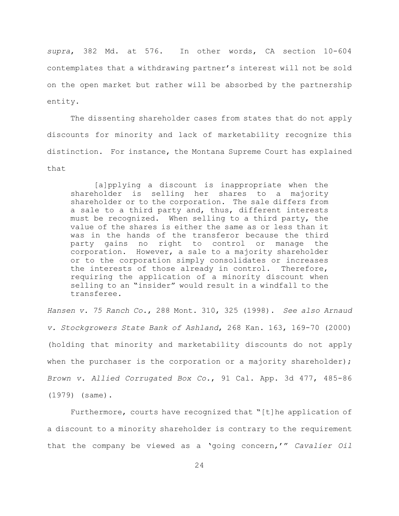*supra*, 382 Md. at 576. In other words, CA section 10-604 contemplates that a withdrawing partner's interest will not be sold on the open market but rather will be absorbed by the partnership entity.

The dissenting shareholder cases from states that do not apply discounts for minority and lack of marketability recognize this distinction. For instance, the Montana Supreme Court has explained that

[a]pplying a discount is inappropriate when the shareholder is selling her shares to a majority shareholder or to the corporation. The sale differs from a sale to a third party and, thus, different interests must be recognized. When selling to a third party, the value of the shares is either the same as or less than it was in the hands of the transferor because the third party gains no right to control or manage the corporation. However, a sale to a majority shareholder or to the corporation simply consolidates or increases the interests of those already in control. Therefore, requiring the application of a minority discount when selling to an "insider" would result in a windfall to the transferee.

*Hansen v. 75 Ranch Co.*, 288 Mont. 310, 325 (1998). *See also Arnaud v. Stockgrowers State Bank of Ashland*, 268 Kan. 163, 169-70 (2000) (holding that minority and marketability discounts do not apply when the purchaser is the corporation or a majority shareholder); *Brown v. Allied Corrugated Box Co.*, 91 Cal. App. 3d 477, 485-86 (1979) (same).

Furthermore, courts have recognized that "[t]he application of a discount to a minority shareholder is contrary to the requirement that the company be viewed as a 'going concern,'" *Cavalier Oil*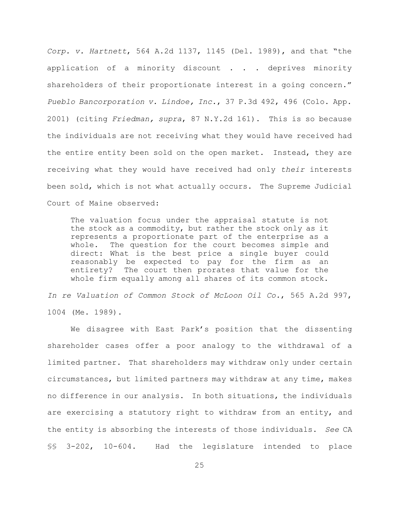*Corp. v. Hartnett*, 564 A.2d 1137, 1145 (Del. 1989), and that "the application of a minority discount . . . deprives minority shareholders of their proportionate interest in a going concern." *Pueblo Bancorporation v. Lindoe, Inc.*, 37 P.3d 492, 496 (Colo. App. 2001) (citing *Friedman, supra*, 87 N.Y.2d 161). This is so because the individuals are not receiving what they would have received had the entire entity been sold on the open market. Instead, they are receiving what they would have received had only *their* interests been sold, which is not what actually occurs. The Supreme Judicial Court of Maine observed:

The valuation focus under the appraisal statute is not the stock as a commodity, but rather the stock only as it represents a proportionate part of the enterprise as a whole. The question for the court becomes simple and direct: What is the best price a single buyer could reasonably be expected to pay for the firm as an entirety? The court then prorates that value for the whole firm equally among all shares of its common stock.

*In re Valuation of Common Stock of McLoon Oil Co.*, 565 A.2d 997, 1004 (Me. 1989).

We disagree with East Park's position that the dissenting shareholder cases offer a poor analogy to the withdrawal of a limited partner. That shareholders may withdraw only under certain circumstances, but limited partners may withdraw at any time, makes no difference in our analysis. In both situations, the individuals are exercising a statutory right to withdraw from an entity, and the entity is absorbing the interests of those individuals. *See* CA §§ 3-202, 10-604. Had the legislature intended to place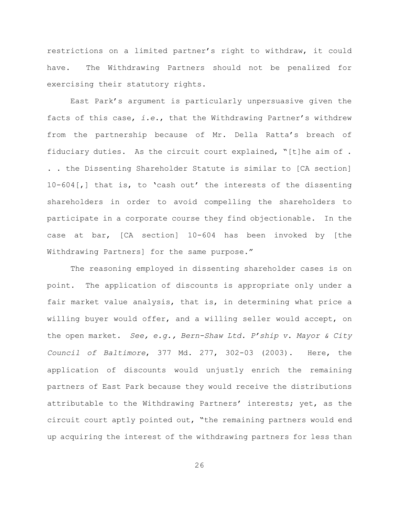restrictions on a limited partner's right to withdraw, it could have. The Withdrawing Partners should not be penalized for exercising their statutory rights.

East Park's argument is particularly unpersuasive given the facts of this case, *i.e.*, that the Withdrawing Partner's withdrew from the partnership because of Mr. Della Ratta's breach of fiduciary duties. As the circuit court explained, "[t]he aim of . . . the Dissenting Shareholder Statute is similar to [CA section] 10-604[,] that is, to 'cash out' the interests of the dissenting shareholders in order to avoid compelling the shareholders to participate in a corporate course they find objectionable. In the case at bar, [CA section] 10-604 has been invoked by [the Withdrawing Partners] for the same purpose."

The reasoning employed in dissenting shareholder cases is on point. The application of discounts is appropriate only under a fair market value analysis, that is, in determining what price a willing buyer would offer, and a willing seller would accept, on the open market. *See, e.g., Bern-Shaw Ltd. P'ship v. Mayor & City Council of Baltimore*, 377 Md. 277, 302-03 (2003). Here, the application of discounts would unjustly enrich the remaining partners of East Park because they would receive the distributions attributable to the Withdrawing Partners' interests; yet, as the circuit court aptly pointed out, "the remaining partners would end up acquiring the interest of the withdrawing partners for less than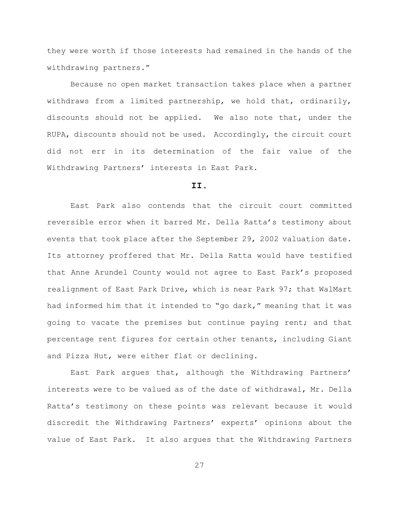they were worth if those interests had remained in the hands of the withdrawing partners."

Because no open market transaction takes place when a partner withdraws from a limited partnership, we hold that, ordinarily, discounts should not be applied. We also note that, under the RUPA, discounts should not be used. Accordingly, the circuit court did not err in its determination of the fair value of the Withdrawing Partners' interests in East Park.

### **II.**

East Park also contends that the circuit court committed reversible error when it barred Mr. Della Ratta's testimony about events that took place after the September 29, 2002 valuation date. Its attorney proffered that Mr. Della Ratta would have testified that Anne Arundel County would not agree to East Park's proposed realignment of East Park Drive, which is near Park 97; that WalMart had informed him that it intended to "go dark," meaning that it was going to vacate the premises but continue paying rent; and that percentage rent figures for certain other tenants, including Giant and Pizza Hut, were either flat or declining.

East Park argues that, although the Withdrawing Partners' interests were to be valued as of the date of withdrawal, Mr. Della Ratta's testimony on these points was relevant because it would discredit the Withdrawing Partners' experts' opinions about the value of East Park. It also argues that the Withdrawing Partners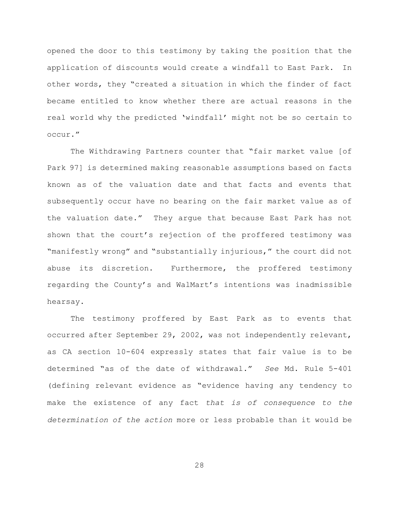opened the door to this testimony by taking the position that the application of discounts would create a windfall to East Park. In other words, they "created a situation in which the finder of fact became entitled to know whether there are actual reasons in the real world why the predicted 'windfall' might not be so certain to occur."

The Withdrawing Partners counter that "fair market value [of Park 97] is determined making reasonable assumptions based on facts known as of the valuation date and that facts and events that subsequently occur have no bearing on the fair market value as of the valuation date." They argue that because East Park has not shown that the court's rejection of the proffered testimony was "manifestly wrong" and "substantially injurious," the court did not abuse its discretion. Furthermore, the proffered testimony regarding the County's and WalMart's intentions was inadmissible hearsay.

The testimony proffered by East Park as to events that occurred after September 29, 2002, was not independently relevant, as CA section 10-604 expressly states that fair value is to be determined "as of the date of withdrawal." *See* Md. Rule 5-401 (defining relevant evidence as "evidence having any tendency to make the existence of any fact *that is of consequence to the determination of the action* more or less probable than it would be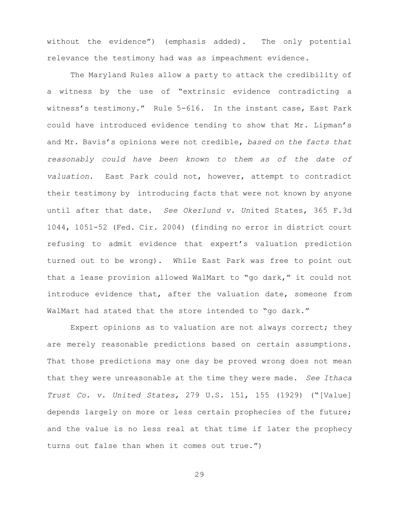without the evidence") (emphasis added). The only potential relevance the testimony had was as impeachment evidence.

The Maryland Rules allow a party to attack the credibility of a witness by the use of "extrinsic evidence contradicting a witness's testimony." Rule 5-616. In the instant case, East Park could have introduced evidence tending to show that Mr. Lipman's and Mr. Bavis's opinions were not credible, *based on the facts that reasonably could have been known to them as of the date of valuation*. East Park could not, however, attempt to contradict their testimony by introducing facts that were not known by anyone until after that date. *See Okerlund v. Un*ited States, 365 F.3d 1044, 1051-52 (Fed. Cir. 2004) (finding no error in district court refusing to admit evidence that expert's valuation prediction turned out to be wrong). While East Park was free to point out that a lease provision allowed WalMart to "go dark," it could not introduce evidence that, after the valuation date, someone from WalMart had stated that the store intended to "go dark."

Expert opinions as to valuation are not always correct; they are merely reasonable predictions based on certain assumptions. That those predictions may one day be proved wrong does not mean that they were unreasonable at the time they were made. *See Ithaca Trust Co. v. United States,* 279 U.S. 151, 155 (1929) ("[Value] depends largely on more or less certain prophecies of the future; and the value is no less real at that time if later the prophecy turns out false than when it comes out true.")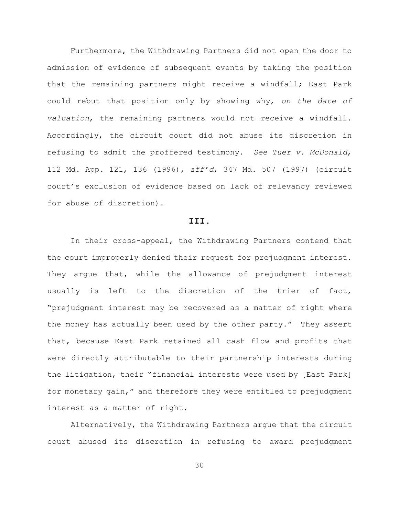Furthermore, the Withdrawing Partners did not open the door to admission of evidence of subsequent events by taking the position that the remaining partners might receive a windfall; East Park could rebut that position only by showing why, *on the date of valuation*, the remaining partners would not receive a windfall. Accordingly, the circuit court did not abuse its discretion in refusing to admit the proffered testimony. *See Tuer v. McDonald*, 112 Md. App. 121, 136 (1996), *aff'd*, 347 Md. 507 (1997) (circuit court's exclusion of evidence based on lack of relevancy reviewed for abuse of discretion).

# **III.**

In their cross-appeal, the Withdrawing Partners contend that the court improperly denied their request for prejudgment interest. They argue that, while the allowance of prejudgment interest usually is left to the discretion of the trier of fact, "prejudgment interest may be recovered as a matter of right where the money has actually been used by the other party." They assert that, because East Park retained all cash flow and profits that were directly attributable to their partnership interests during the litigation, their "financial interests were used by [East Park] for monetary gain," and therefore they were entitled to prejudgment interest as a matter of right.

Alternatively, the Withdrawing Partners argue that the circuit court abused its discretion in refusing to award prejudgment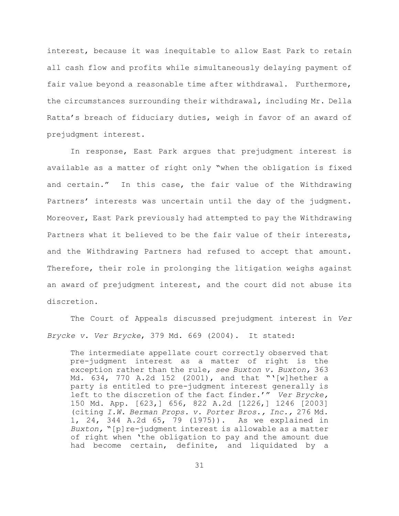interest, because it was inequitable to allow East Park to retain all cash flow and profits while simultaneously delaying payment of fair value beyond a reasonable time after withdrawal. Furthermore, the circumstances surrounding their withdrawal, including Mr. Della Ratta's breach of fiduciary duties, weigh in favor of an award of prejudgment interest.

In response, East Park argues that prejudgment interest is available as a matter of right only "when the obligation is fixed and certain." In this case, the fair value of the Withdrawing Partners' interests was uncertain until the day of the judgment. Moreover, East Park previously had attempted to pay the Withdrawing Partners what it believed to be the fair value of their interests, and the Withdrawing Partners had refused to accept that amount. Therefore, their role in prolonging the litigation weighs against an award of prejudgment interest, and the court did not abuse its discretion.

The Court of Appeals discussed prejudgment interest in *Ver Brycke v. Ver Brycke*, 379 Md. 669 (2004). It stated:

The intermediate appellate court correctly observed that pre-judgment interest as a matter of right is the exception rather than the rule, *see Buxton v. Buxton,* 363 Md. 634, 770 A.2d 152 (2001), and that "'[w]hether a party is entitled to pre-judgment interest generally is left to the discretion of the fact finder.'" *Ver Brycke,* 150 Md. App. [623,] 656, 822 A.2d [1226,] 1246 [2003] (citing *I.W. Berman Props. v. Porter Bros., Inc.,* 276 Md. 1, 24, 344 A.2d 65, 79 (1975)). As we explained in *Buxton,* "[p]re-judgment interest is allowable as a matter of right when 'the obligation to pay and the amount due had become certain, definite, and liquidated by a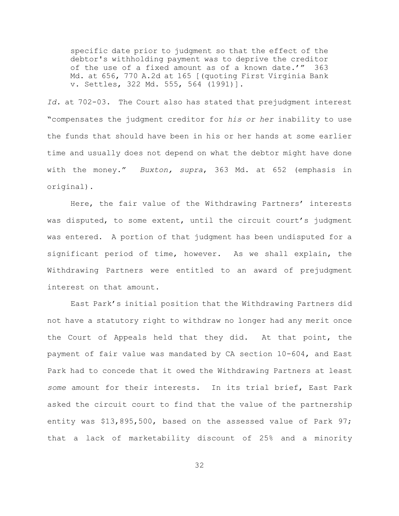specific date prior to judgment so that the effect of the debtor's withholding payment was to deprive the creditor of the use of a fixed amount as of a known date.'" 363 Md. at 656, 770 A.2d at 165 [(quoting First Virginia Bank v. Settles, 322 Md. 555, 564 (1991)].

*Id.* at 702-03. The Court also has stated that prejudgment interest "compensates the judgment creditor for *his or her* inability to use the funds that should have been in his or her hands at some earlier time and usually does not depend on what the debtor might have done with the money." *Buxton, supra*, 363 Md. at 652 (emphasis in original).

Here, the fair value of the Withdrawing Partners' interests was disputed, to some extent, until the circuit court's judgment was entered. A portion of that judgment has been undisputed for a significant period of time, however. As we shall explain, the Withdrawing Partners were entitled to an award of prejudgment interest on that amount.

East Park's initial position that the Withdrawing Partners did not have a statutory right to withdraw no longer had any merit once the Court of Appeals held that they did. At that point, the payment of fair value was mandated by CA section 10-604, and East Park had to concede that it owed the Withdrawing Partners at least *some* amount for their interests. In its trial brief, East Park asked the circuit court to find that the value of the partnership entity was \$13,895,500, based on the assessed value of Park 97; that a lack of marketability discount of 25% and a minority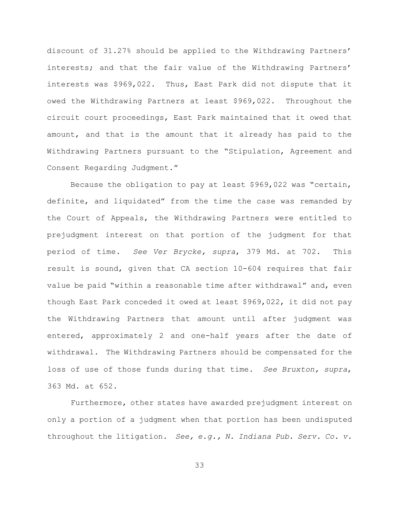discount of 31.27% should be applied to the Withdrawing Partners' interests; and that the fair value of the Withdrawing Partners' interests was \$969,022. Thus, East Park did not dispute that it owed the Withdrawing Partners at least \$969,022. Throughout the circuit court proceedings, East Park maintained that it owed that amount, and that is the amount that it already has paid to the Withdrawing Partners pursuant to the "Stipulation, Agreement and Consent Regarding Judgment."

Because the obligation to pay at least \$969,022 was "certain, definite, and liquidated" from the time the case was remanded by the Court of Appeals, the Withdrawing Partners were entitled to prejudgment interest on that portion of the judgment for that period of time. *See Ver Brycke, supra*, 379 Md. at 702. This result is sound, given that CA section 10-604 requires that fair value be paid "within a reasonable time after withdrawal" and, even though East Park conceded it owed at least \$969,022, it did not pay the Withdrawing Partners that amount until after judgment was entered, approximately 2 and one-half years after the date of withdrawal. The Withdrawing Partners should be compensated for the loss of use of those funds during that time. *See Bruxton, supra*, 363 Md. at 652.

Furthermore, other states have awarded prejudgment interest on only a portion of a judgment when that portion has been undisputed throughout the litigation. *See, e.g., N. Indiana Pub. Serv. Co. v.*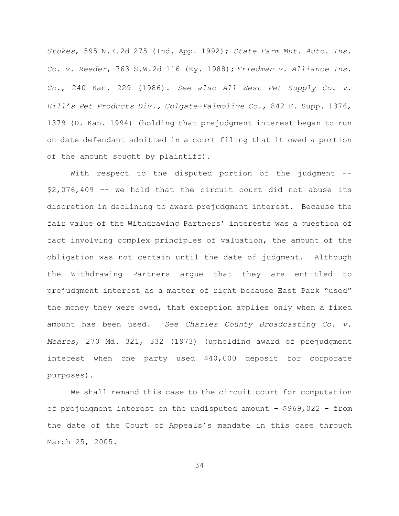*Stokes*, 595 N.E.2d 275 (Ind. App. 1992); *State Farm Mut. Auto. Ins. Co. v. Reeder*, 763 S.W.2d 116 (Ky. 1988); *Friedman v. Alliance Ins. Co.*, 240 Kan. 229 (1986). *See also All West Pet Supply Co. v. Hill's Pet Products Div., Colgate-Palmolive Co.*, 842 F. Supp. 1376, 1379 (D. Kan. 1994) (holding that prejudgment interest began to run on date defendant admitted in a court filing that it owed a portion of the amount sought by plaintiff).

With respect to the disputed portion of the judgment --\$2,076,409 -- we hold that the circuit court did not abuse its discretion in declining to award prejudgment interest. Because the fair value of the Withdrawing Partners' interests was a question of fact involving complex principles of valuation, the amount of the obligation was not certain until the date of judgment. Although the Withdrawing Partners argue that they are entitled to prejudgment interest as a matter of right because East Park "used" the money they were owed, that exception applies only when a fixed amount has been used. *See Charles County Broadcasting Co. v. Meares*, 270 Md. 321, 332 (1973) (upholding award of prejudgment interest when one party used \$40,000 deposit for corporate purposes).

We shall remand this case to the circuit court for computation of prejudgment interest on the undisputed amount  $-$  \$969,022 - from the date of the Court of Appeals's mandate in this case through March 25, 2005.